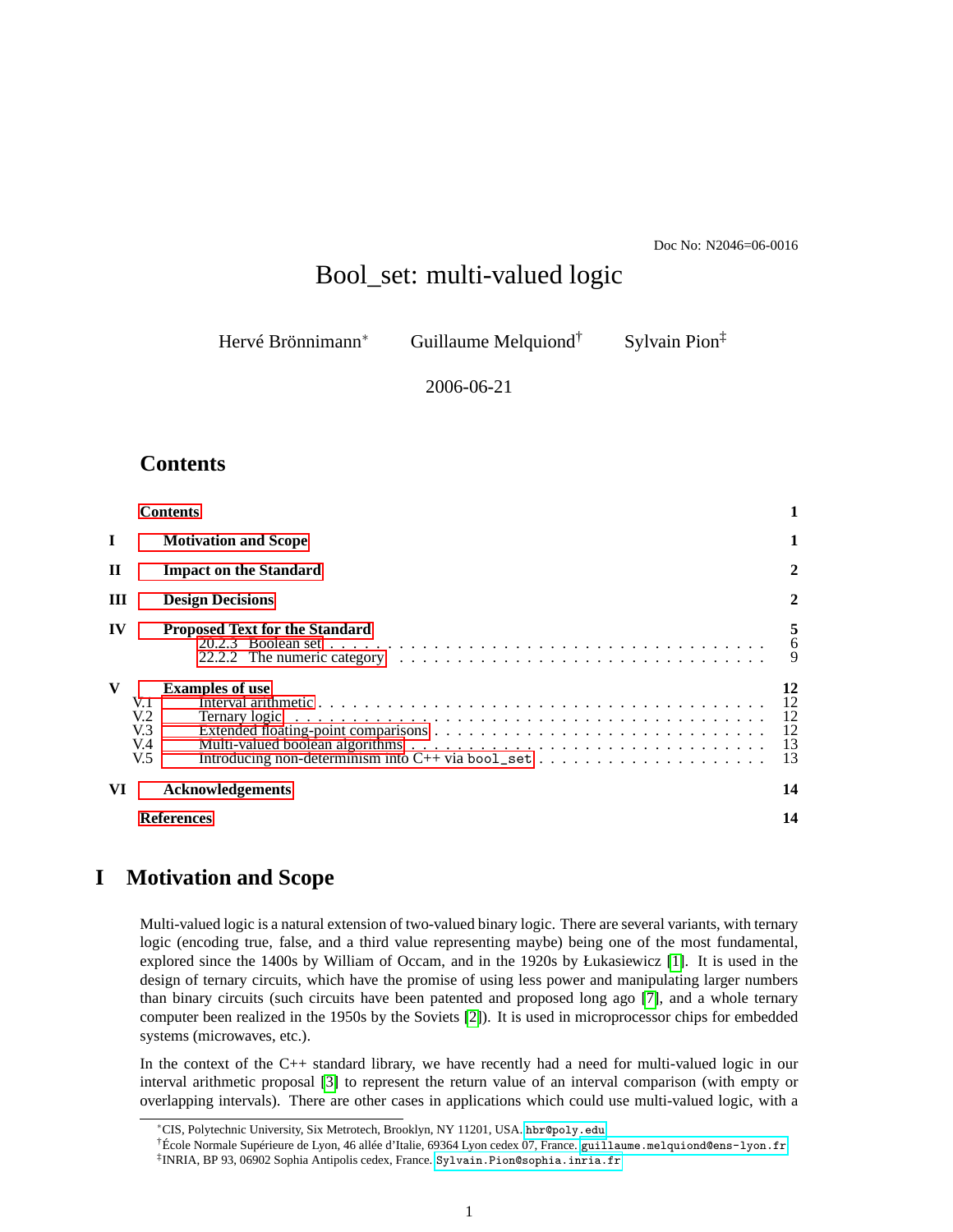Doc No: N2046=06-0016

# Bool\_set: multi-valued logic

Hervé Brönnimann<sup>∗</sup> Guillaume Melquiond† Sylvain Pion‡

2006-06-21

# <span id="page-0-0"></span>**Contents**

|                                                                                                | <b>Contents</b>                                                                                                                                            |                                     |
|------------------------------------------------------------------------------------------------|------------------------------------------------------------------------------------------------------------------------------------------------------------|-------------------------------------|
| T                                                                                              | <b>Motivation and Scope</b>                                                                                                                                | 1                                   |
| $\mathbf{H}$                                                                                   | <b>Impact on the Standard</b>                                                                                                                              | $\mathbf{2}$                        |
| Ш                                                                                              | <b>Design Decisions</b>                                                                                                                                    | $\mathbf{2}$                        |
| IV                                                                                             | <b>Proposed Text for the Standard</b><br>22.2.2 The numeric category $\ldots \ldots \ldots \ldots \ldots \ldots \ldots \ldots \ldots \ldots \ldots \ldots$ | 5<br>6                              |
| $\mathbf{v}$<br>V <sub>1</sub><br>V <sub>12</sub><br>V <sub>0</sub><br>V.4<br>V <sub>0.5</sub> | <b>Examples of use</b>                                                                                                                                     | 12<br>12<br>-12<br>-12<br>-13<br>13 |
| VI                                                                                             | <b>Acknowledgements</b>                                                                                                                                    | 14                                  |
|                                                                                                | <b>References</b>                                                                                                                                          | 14                                  |

# <span id="page-0-1"></span>**I Motivation and Scope**

Multi-valued logic is a natural extension of two-valued binary logic. There are several variants, with ternary logic (encoding true, false, and a third value representing maybe) being one of the most fundamental, explored since the 1400s by William of Occam, and in the 1920s by Łukasiewicz [\[1\]](#page-13-1). It is used in the design of ternary circuits, which have the promise of using less power and manipulating larger numbers than binary circuits (such circuits have been patented and proposed long ago [\[7\]](#page-13-2), and a whole ternary computer been realized in the 1950s by the Soviets [\[2\]](#page-13-3)). It is used in microprocessor chips for embedded systems (microwaves, etc.).

In the context of the C++ standard library, we have recently had a need for multi-valued logic in our interval arithmetic proposal [\[3\]](#page-13-4) to represent the return value of an interval comparison (with empty or overlapping intervals). There are other cases in applications which could use multi-valued logic, with a

<sup>∗</sup>CIS, Polytechnic University, Six Metrotech, Brooklyn, NY 11201, USA. <hbr@poly.edu>

<sup>†</sup>École Normale Supérieure de Lyon, 46 allée d'Italie, 69364 Lyon cedex 07, France. <guillaume.melquiond@ens-lyon.fr> ‡ INRIA, BP 93, 06902 Sophia Antipolis cedex, France. <Sylvain.Pion@sophia.inria.fr>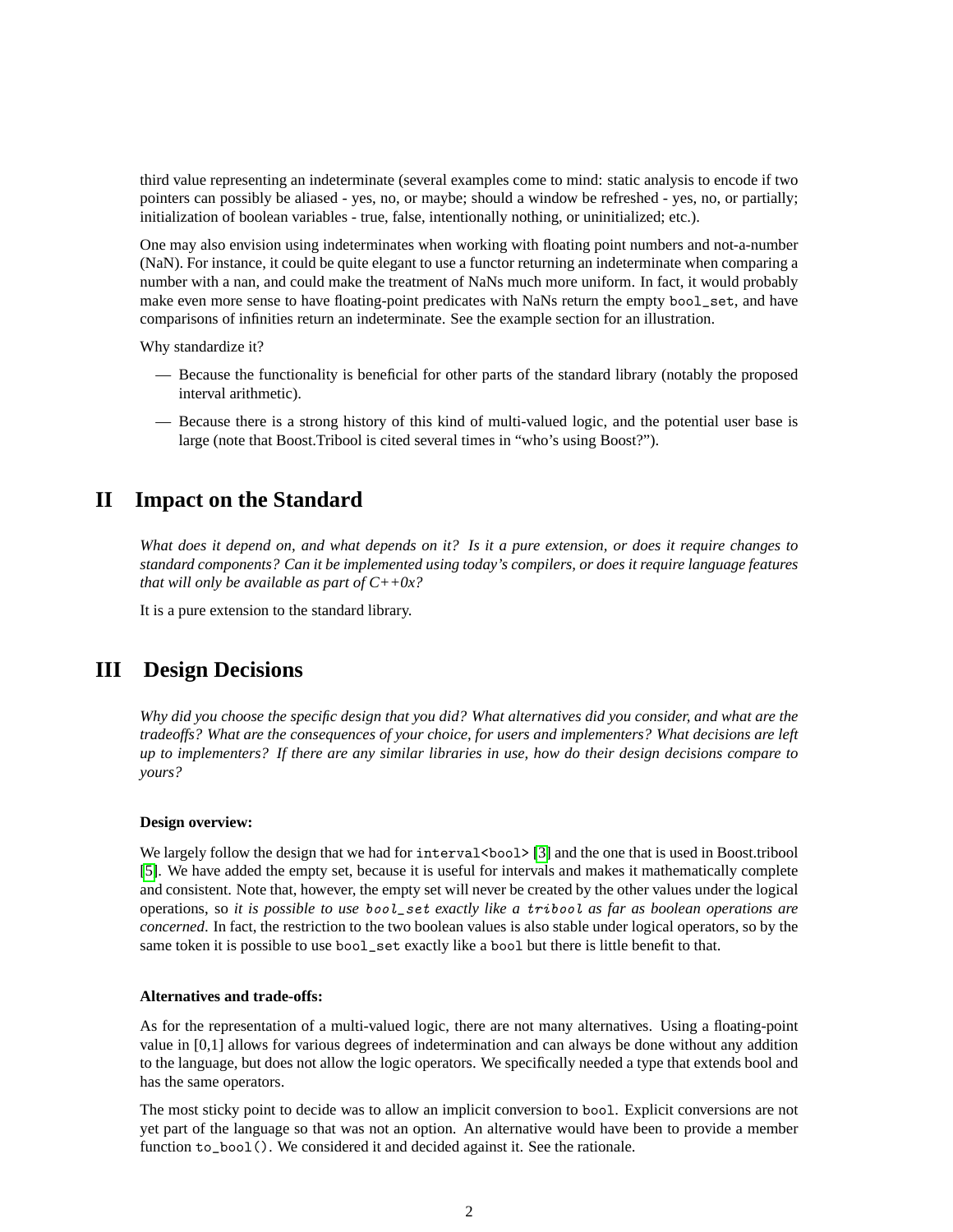third value representing an indeterminate (several examples come to mind: static analysis to encode if two pointers can possibly be aliased - yes, no, or maybe; should a window be refreshed - yes, no, or partially; initialization of boolean variables - true, false, intentionally nothing, or uninitialized; etc.).

One may also envision using indeterminates when working with floating point numbers and not-a-number (NaN). For instance, it could be quite elegant to use a functor returning an indeterminate when comparing a number with a nan, and could make the treatment of NaNs much more uniform. In fact, it would probably make even more sense to have floating-point predicates with NaNs return the empty bool\_set, and have comparisons of infinities return an indeterminate. See the example section for an illustration.

Why standardize it?

- Because the functionality is beneficial for other parts of the standard library (notably the proposed interval arithmetic).
- Because there is a strong history of this kind of multi-valued logic, and the potential user base is large (note that Boost.Tribool is cited several times in "who's using Boost?").

# <span id="page-1-0"></span>**II Impact on the Standard**

*What does it depend on, and what depends on it? Is it a pure extension, or does it require changes to standard components? Can it be implemented using today's compilers, or does it require language features that will only be available as part of C++0x?*

<span id="page-1-1"></span>It is a pure extension to the standard library.

# **III Design Decisions**

*Why did you choose the specific design that you did? What alternatives did you consider, and what are the tradeoffs? What are the consequences of your choice, for users and implementers? What decisions are left up to implementers? If there are any similar libraries in use, how do their design decisions compare to yours?*

### **Design overview:**

We largely follow the design that we had for interval <br/>bool> [\[3\]](#page-13-4) and the one that is used in Boost.tribool [\[5\]](#page-13-5). We have added the empty set, because it is useful for intervals and makes it mathematically complete and consistent. Note that, however, the empty set will never be created by the other values under the logical operations, so *it is possible to use* bool\_set *exactly like a* tribool *as far as boolean operations are concerned*. In fact, the restriction to the two boolean values is also stable under logical operators, so by the same token it is possible to use bool\_set exactly like a bool but there is little benefit to that.

#### **Alternatives and trade-offs:**

As for the representation of a multi-valued logic, there are not many alternatives. Using a floating-point value in [0,1] allows for various degrees of indetermination and can always be done without any addition to the language, but does not allow the logic operators. We specifically needed a type that extends bool and has the same operators.

The most sticky point to decide was to allow an implicit conversion to bool. Explicit conversions are not yet part of the language so that was not an option. An alternative would have been to provide a member function to\_bool(). We considered it and decided against it. See the rationale.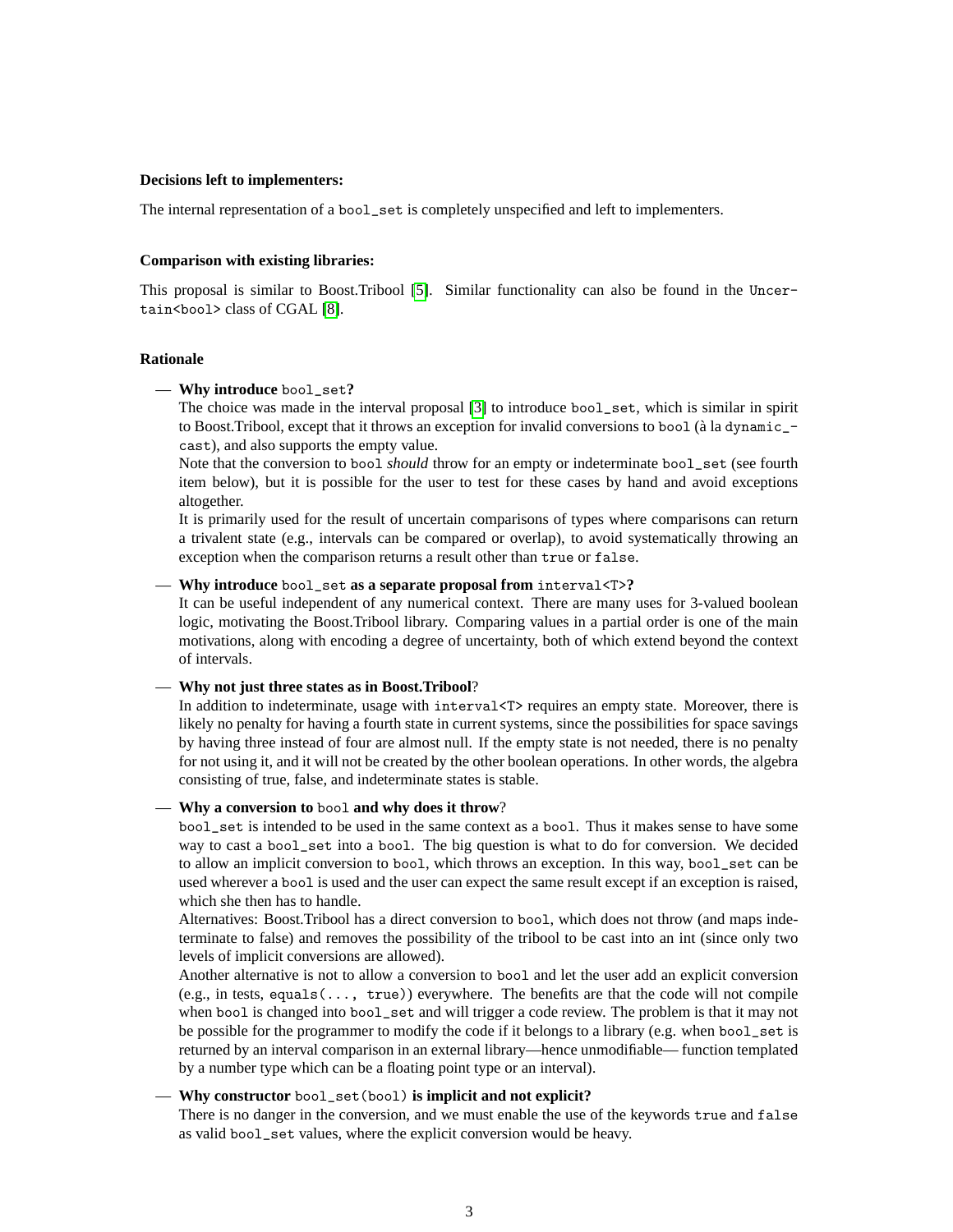#### **Decisions left to implementers:**

The internal representation of a bool\_set is completely unspecified and left to implementers.

#### **Comparison with existing libraries:**

This proposal is similar to Boost.Tribool [\[5\]](#page-13-5). Similar functionality can also be found in the Uncer-tain<br/>bool> class of CGAL [\[8\]](#page-13-6).

### **Rationale**

#### — **Why introduce** bool\_set**?**

The choice was made in the interval proposal [\[3\]](#page-13-4) to introduce bool\_set, which is similar in spirit to Boost.Tribool, except that it throws an exception for invalid conversions to bool (à la dynamic\_ cast), and also supports the empty value.

Note that the conversion to bool *should* throw for an empty or indeterminate bool\_set (see fourth item below), but it is possible for the user to test for these cases by hand and avoid exceptions altogether.

It is primarily used for the result of uncertain comparisons of types where comparisons can return a trivalent state (e.g., intervals can be compared or overlap), to avoid systematically throwing an exception when the comparison returns a result other than true or false.

— **Why introduce** bool\_set **as a separate proposal from** interval<T>**?**

It can be useful independent of any numerical context. There are many uses for 3-valued boolean logic, motivating the Boost.Tribool library. Comparing values in a partial order is one of the main motivations, along with encoding a degree of uncertainty, both of which extend beyond the context of intervals.

— **Why not just three states as in Boost.Tribool**?

In addition to indeterminate, usage with interval<T> requires an empty state. Moreover, there is likely no penalty for having a fourth state in current systems, since the possibilities for space savings by having three instead of four are almost null. If the empty state is not needed, there is no penalty for not using it, and it will not be created by the other boolean operations. In other words, the algebra consisting of true, false, and indeterminate states is stable.

#### — **Why a conversion to** bool **and why does it throw**?

bool\_set is intended to be used in the same context as a bool. Thus it makes sense to have some way to cast a bool\_set into a bool. The big question is what to do for conversion. We decided to allow an implicit conversion to bool, which throws an exception. In this way, bool\_set can be used wherever a bool is used and the user can expect the same result except if an exception is raised, which she then has to handle.

Alternatives: Boost.Tribool has a direct conversion to bool, which does not throw (and maps indeterminate to false) and removes the possibility of the tribool to be cast into an int (since only two levels of implicit conversions are allowed).

Another alternative is not to allow a conversion to bool and let the user add an explicit conversion (e.g., in tests, equals( $\dots$ , true)) everywhere. The benefits are that the code will not compile when bool is changed into bool\_set and will trigger a code review. The problem is that it may not be possible for the programmer to modify the code if it belongs to a library (e.g. when bool\_set is returned by an interval comparison in an external library—hence unmodifiable— function templated by a number type which can be a floating point type or an interval).

— **Why constructor** bool\_set(bool) **is implicit and not explicit?**

There is no danger in the conversion, and we must enable the use of the keywords true and false as valid bool\_set values, where the explicit conversion would be heavy.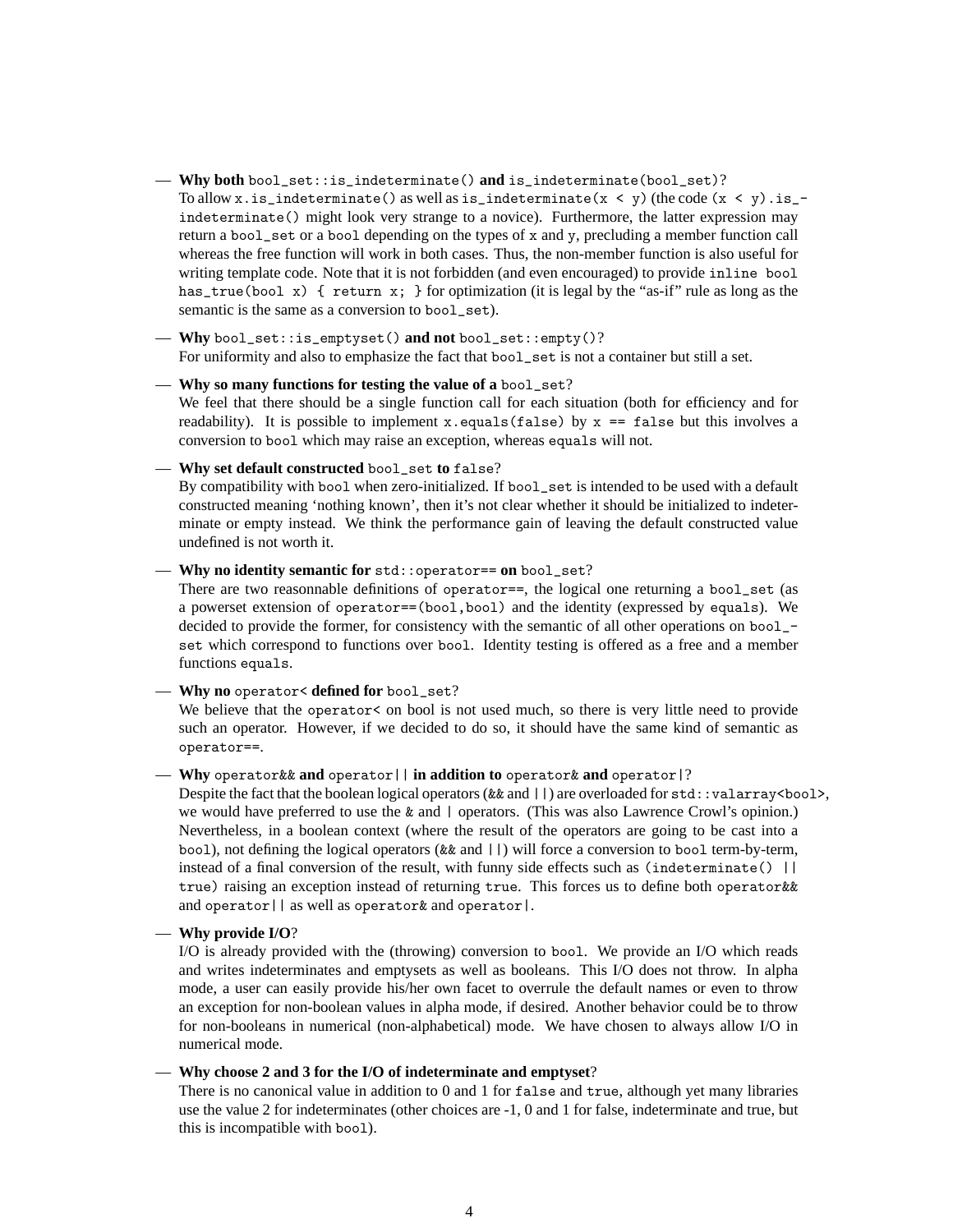- **Why both** bool\_set::is\_indeterminate() **and** is\_indeterminate(bool\_set)? To allow x.is\_indeterminate() as well as is\_indeterminate(x < y) (the code (x < y).is\_indeterminate() might look very strange to a novice). Furthermore, the latter expression may return a bool\_set or a bool depending on the types of x and y, precluding a member function call whereas the free function will work in both cases. Thus, the non-member function is also useful for writing template code. Note that it is not forbidden (and even encouraged) to provide inline bool has\_true(bool x) { return x; } for optimization (it is legal by the "as-if" rule as long as the semantic is the same as a conversion to bool\_set).
- **Why** bool\_set::is\_emptyset() **and not** bool\_set::empty()? For uniformity and also to emphasize the fact that bool\_set is not a container but still a set.

#### — **Why so many functions for testing the value of a** bool\_set?

We feel that there should be a single function call for each situation (both for efficiency and for readability). It is possible to implement x.equals(false) by  $x =$  false but this involves a conversion to bool which may raise an exception, whereas equals will not.

— **Why set default constructed** bool\_set **to** false?

By compatibility with bool when zero-initialized. If bool\_set is intended to be used with a default constructed meaning 'nothing known', then it's not clear whether it should be initialized to indeterminate or empty instead. We think the performance gain of leaving the default constructed value undefined is not worth it.

#### — **Why no identity semantic for** std::operator== **on** bool\_set?

There are two reasonnable definitions of operator==, the logical one returning a bool\_set (as a powerset extension of operator==(bool,bool) and the identity (expressed by equals). We decided to provide the former, for consistency with the semantic of all other operations on bool\_ set which correspond to functions over bool. Identity testing is offered as a free and a member functions equals.

## — **Why no** operator< **defined for** bool\_set?

We believe that the operator< on bool is not used much, so there is very little need to provide such an operator. However, if we decided to do so, it should have the same kind of semantic as operator==.

#### — **Why** operator&& **and** operator|| **in addition to** operator& **and** operator|?

Despite the fact that the boolean logical operators  $(kk \text{ and } | \cdot |)$  are overloaded for  $\text{std}:$ : valarray<br/>bool>, we would have preferred to use the & and | operators. (This was also Lawrence Crowl's opinion.) Nevertheless, in a boolean context (where the result of the operators are going to be cast into a bool), not defining the logical operators ( $\&\&$  and  $| \cdot |$ ) will force a conversion to bool term-by-term, instead of a final conversion of the result, with funny side effects such as (indeterminate() || true) raising an exception instead of returning true. This forces us to define both operator & and operator  $||$  as well as operator & and operator  $||$ .

## — **Why provide I/O**?

I/O is already provided with the (throwing) conversion to bool. We provide an I/O which reads and writes indeterminates and emptysets as well as booleans. This I/O does not throw. In alpha mode, a user can easily provide his/her own facet to overrule the default names or even to throw an exception for non-boolean values in alpha mode, if desired. Another behavior could be to throw for non-booleans in numerical (non-alphabetical) mode. We have chosen to always allow I/O in numerical mode.

— **Why choose 2 and 3 for the I/O of indeterminate and emptyset**?

There is no canonical value in addition to 0 and 1 for false and true, although yet many libraries use the value 2 for indeterminates (other choices are -1, 0 and 1 for false, indeterminate and true, but this is incompatible with bool).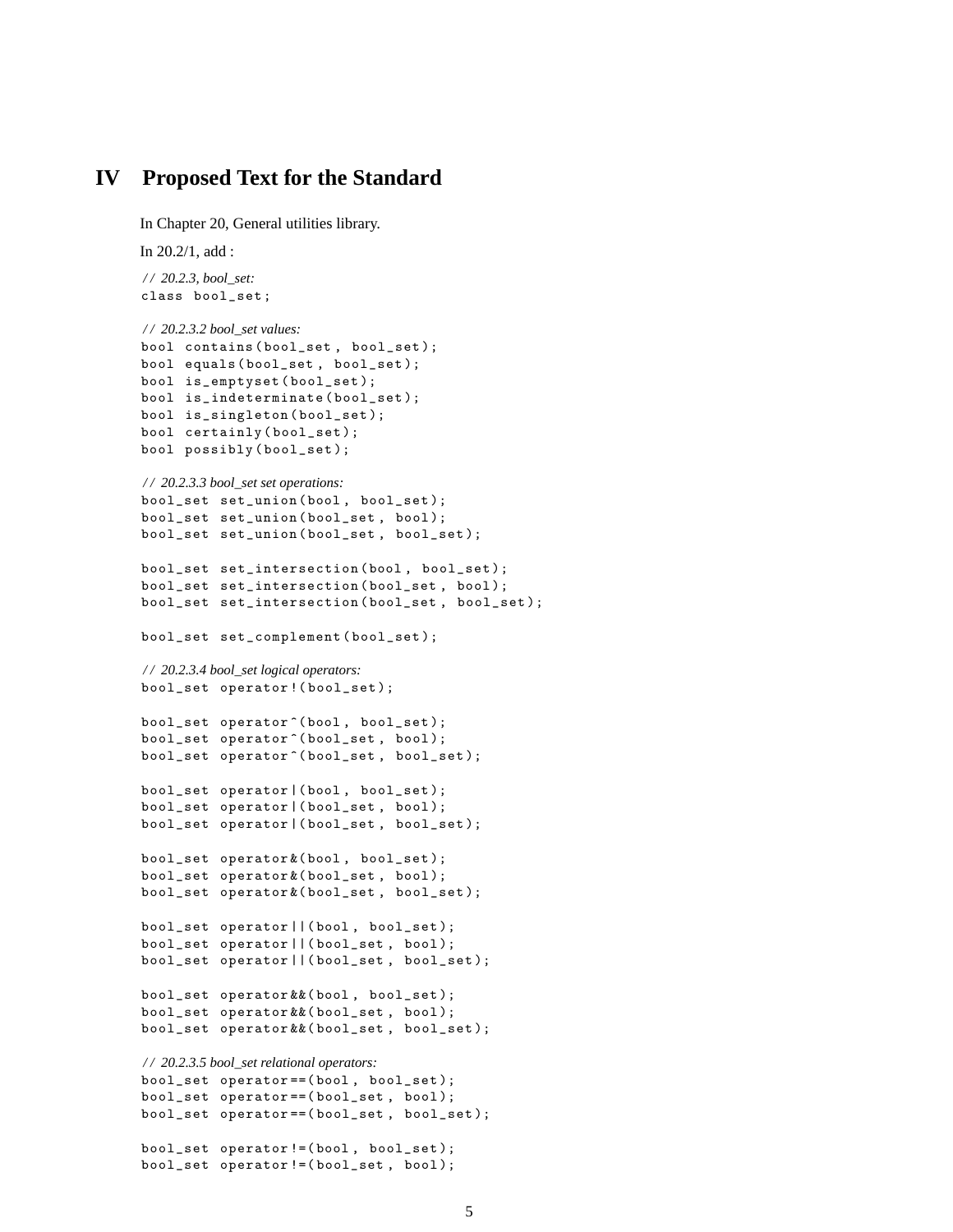# <span id="page-4-0"></span>**IV Proposed Text for the Standard**

```
In Chapter 20, General utilities library.
In 20.2/1, add :
/ / 20.2.3, bool_set:
class bool_set ;
/ / 20.2.3.2 bool_set values:
bool contains ( bool_set , bool_set );
bool equals ( bool_set , bool_set );
bool is_emptyset ( bool_set );
bool is_indeterminate ( bool_set );
bool is_singleton ( bool_set );
bool certainly ( bool_set );
bool possibly ( bool_set );
/ / 20.2.3.3 bool_set set operations:
bool_set set_union ( bool , bool_set );
bool_set set_union ( bool_set , bool );
bool_set set_union ( bool_set , bool_set );
bool_set set_intersection ( bool , bool_set );
bool_set set_intersection ( bool_set , bool );
bool_set set_intersection ( bool_set , bool_set );
bool_set set_complement ( bool_set );
/ / 20.2.3.4 bool_set logical operators:
bool_set operator !( bool_set );
bool_set operator ^( bool , bool_set );
bool_set operator ^( bool_set , bool );
bool_set operator ^( bool_set , bool_set );
bool_set operator |( bool , bool_set );
bool_set operator |( bool_set , bool );
bool_set operator |( bool_set , bool_set );
bool_set operator &( bool , bool_set );
bool_set operator &( bool_set , bool );
bool_set operator &( bool_set , bool_set );
bool_set operator ||( bool , bool_set );
bool_set operator ||( bool_set , bool );
bool_set operator ||( bool_set , bool_set );
bool_set operator &&( bool , bool_set );
bool_set operator &&( bool_set , bool );
bool_set operator &&( bool_set , bool_set );
/ / 20.2.3.5 bool_set relational operators:
bool_set operator ==( bool , bool_set );
bool_set operator ==( bool_set , bool );
bool_set operator ==( bool_set , bool_set );
bool_set operator !=( bool , bool_set );
bool_set operator !=( bool_set , bool );
```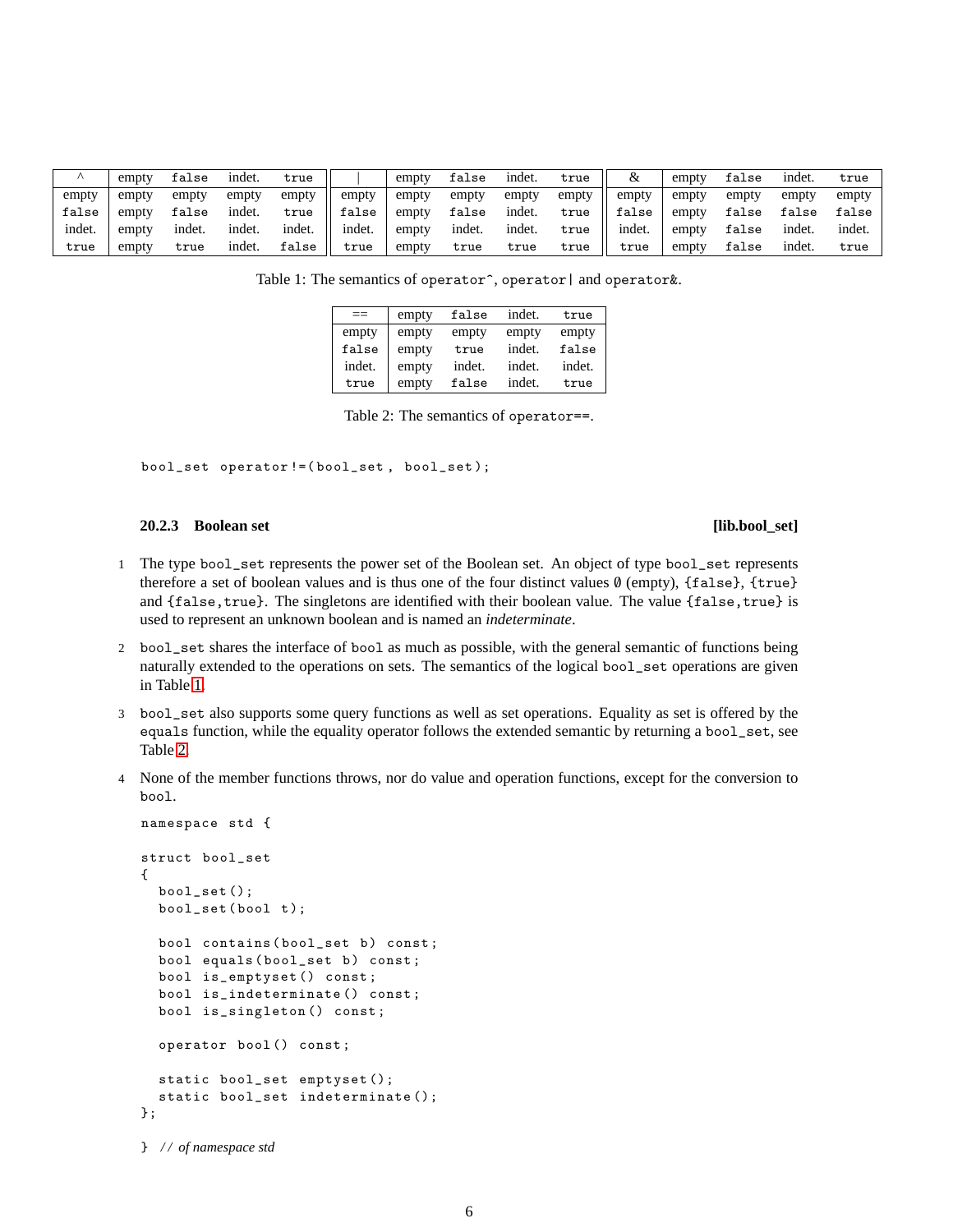| ∧      | empty | false  | indet. | true   |        | empty | false  | indet. | true  |        | empty | false | indet. | true   |
|--------|-------|--------|--------|--------|--------|-------|--------|--------|-------|--------|-------|-------|--------|--------|
| empty  | empty | empty  | empty  | empty  | empty  | empty | empty  | empty  | empty | empty  | empty | empty | empty  | empty  |
| false  | empty | false  | indet. | true   | false  | empty | false  | indet. | true  | false  | empty | false | false  | false  |
| indet. | empty | indet. | indet. | indet. | indet. | empty | indet. | indet. | true  | indet. | empty | false | indet. | indet. |
| true   | empty | true   | indet. | false  | true   | empty | true   | true   | true  | true   | empty | false | indet. | true   |

Table 1: The semantics of operator<sup>o</sup>, operator and operator&.

<span id="page-5-1"></span>

|        | empty | false  | indet. | true   |
|--------|-------|--------|--------|--------|
| empty  | empty | empty  | empty  | empty  |
| false  | empty | true   | indet. | false  |
| indet. | empty | indet. | indet. | indet. |
| true   | empty | false  | indet. | true   |

<span id="page-5-2"></span>Table 2: The semantics of operator==.

bool\_set operator !=( bool\_set , bool\_set );

#### <span id="page-5-0"></span>**20.2.3** Boolean set [lib.bool\_set]

- 1 The type bool\_set represents the power set of the Boolean set. An object of type bool\_set represents therefore a set of boolean values and is thus one of the four distinct values  $\emptyset$  (empty), {false}, {true} and {false,true}. The singletons are identified with their boolean value. The value {false,true} is used to represent an unknown boolean and is named an *indeterminate*.
- 2 bool\_set shares the interface of bool as much as possible, with the general semantic of functions being naturally extended to the operations on sets. The semantics of the logical bool\_set operations are given in Table [1.](#page-5-1)
- 3 bool\_set also supports some query functions as well as set operations. Equality as set is offered by the equals function, while the equality operator follows the extended semantic by returning a bool\_set, see Table [2.](#page-5-2)
- 4 None of the member functions throws, nor do value and operation functions, except for the conversion to bool.

```
namespace std {
struct bool_set
{
  bool_set ();
  bool_set (bool t);
  bool contains (bool_set b) const;
  bool equals (bool_set b) const;
  bool is_emptyset () const ;
  bool is_indeterminate () const ;
  bool is_singleton () const ;
  operator bool () const ;
  static bool_set emptyset ();
  static bool_set indeterminate ();
};
} / / of namespace std
```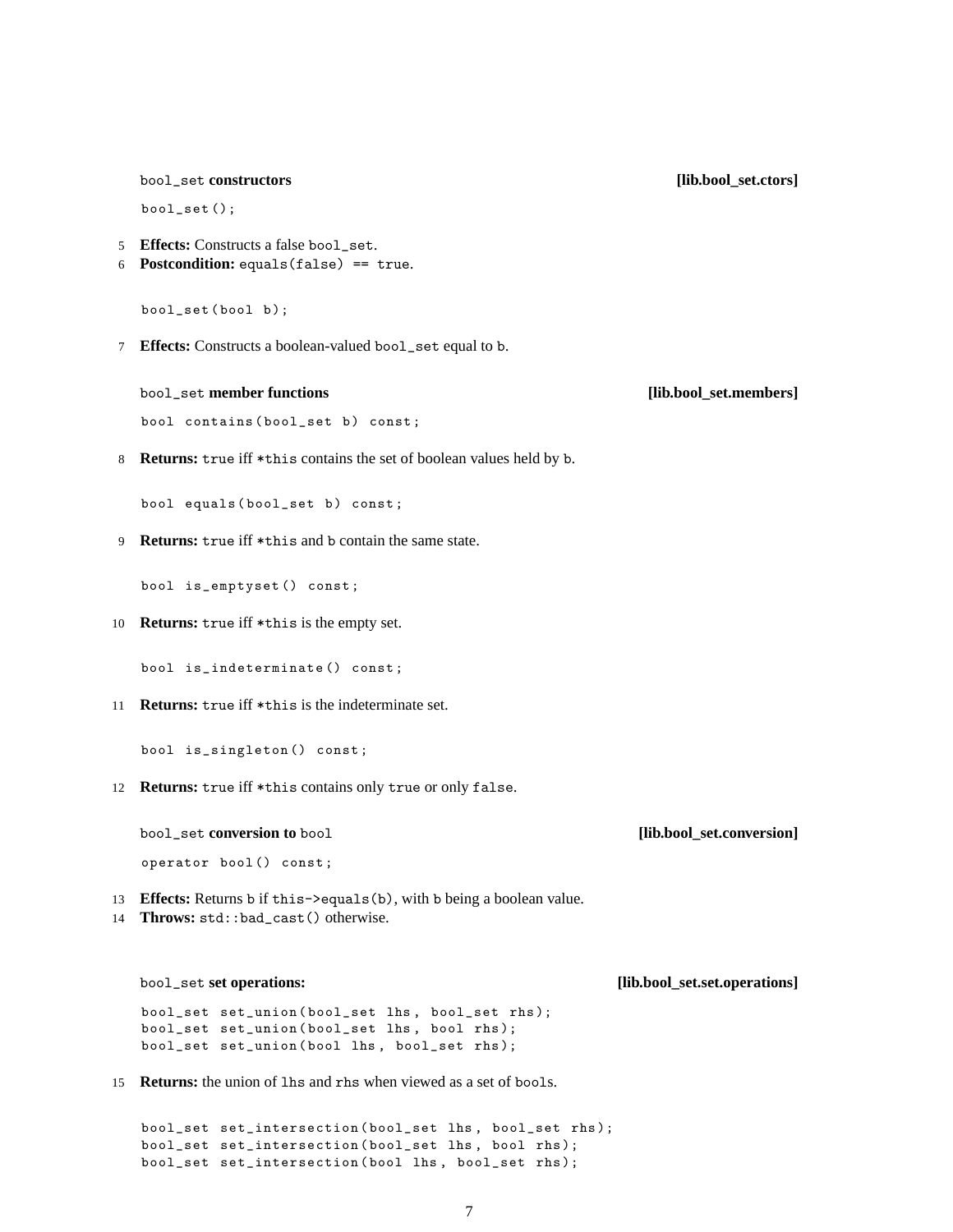|          | bool_set constructors                                                                                                                         | [lib.bool_set.ctors]          |
|----------|-----------------------------------------------------------------------------------------------------------------------------------------------|-------------------------------|
|          | $bool_set()$ ;                                                                                                                                |                               |
| 5<br>6   | <b>Effects:</b> Constructs a false bool_set.<br><b>Postcondition:</b> equals (false) == true.                                                 |                               |
|          | bool_set(bool b);                                                                                                                             |                               |
| 7        | Effects: Constructs a boolean-valued bool_set equal to b.                                                                                     |                               |
|          | bool_set member functions                                                                                                                     | [lib.bool_set.members]        |
|          | bool contains (bool_set b) const;                                                                                                             |                               |
| 8        | Returns: true iff *this contains the set of boolean values held by b.                                                                         |                               |
|          | bool equals (bool_set b) const;                                                                                                               |                               |
| 9        | <b>Returns:</b> true iff *this and b contain the same state.                                                                                  |                               |
|          | bool is_emptyset() const;                                                                                                                     |                               |
| 10       | Returns: true iff *this is the empty set.                                                                                                     |                               |
|          | bool is_indeterminate() const;                                                                                                                |                               |
| 11       | Returns: true iff *this is the indeterminate set.                                                                                             |                               |
|          | bool is_singleton() const;                                                                                                                    |                               |
| 12       | Returns: true iff *this contains only true or only false.                                                                                     |                               |
|          | bool_set conversion to bool                                                                                                                   | [lib.bool_set.conversion]     |
|          | operator bool() const;                                                                                                                        |                               |
| 13<br>14 | Effects: Returns b if this->equals(b), with b being a boolean value.<br><b>Throws:</b> std::bad_cast() otherwise.                             |                               |
|          | bool_set set operations:                                                                                                                      | [lib.bool_set.set.operations] |
|          | bool_set set_union(bool_set lhs, bool_set rhs);<br>bool_set set_union(bool_set lhs, bool rhs);<br>bool_set set_union(bool lhs, bool_set rhs); |                               |
| 15       | <b>Returns:</b> the union of lhs and rhs when viewed as a set of bools.                                                                       |                               |
|          | bool_set set_intersection(bool_set lhs, bool_set rhs);<br>bool_set set_intersection(bool_set lhs, bool rhs);                                  |                               |

bool\_set set\_intersection ( bool lhs , bool\_set rhs );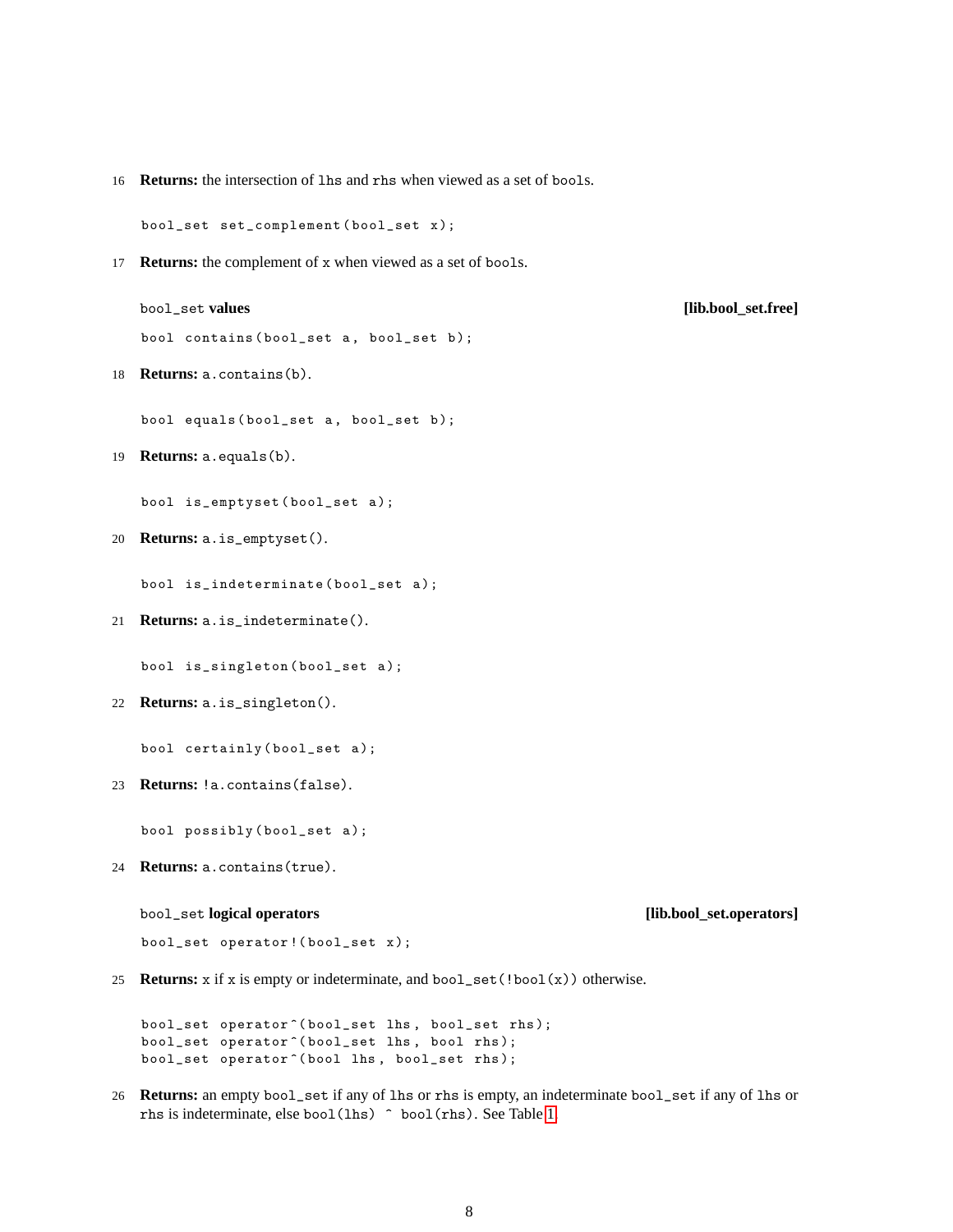16 **Returns:** the intersection of lhs and rhs when viewed as a set of bools.

```
bool_set set_complement ( bool_set x );
```
17 **Returns:** the complement of x when viewed as a set of bools.

bool\_set **values [lib.bool\_set.free]**

```
bool contains (bool_set a, bool_set b);
```
18 **Returns:** a.contains(b).

bool equals (bool\_set a, bool\_set b);

19 **Returns:** a.equals(b).

bool is\_emptyset ( bool\_set a );

20 **Returns:** a.is\_emptyset().

bool is\_indeterminate ( bool\_set a );

21 **Returns:** a.is\_indeterminate().

bool is\_singleton ( bool\_set a );

22 **Returns:** a.is\_singleton().

bool certainly (bool\_set a);

23 **Returns:** !a.contains(false).

bool possibly (bool\_set a);

24 **Returns:** a.contains(true).

bool\_set **logical operators [lib.bool\_set.operators]**

bool\_set operator !( bool\_set x );

25 **Returns:**  $x$  if  $x$  is empty or indeterminate, and  $bool_set(lbool(x))$  otherwise.

bool\_set operator ^( bool\_set lhs , bool\_set rhs ); bool\_set operator ^( bool\_set lhs , bool rhs ); bool\_set operator<sup>^</sup>(bool lhs, bool\_set rhs);

26 **Returns:** an empty bool\_set if any of lhs or rhs is empty, an indeterminate bool\_set if any of lhs or rhs is indeterminate, else bool(lhs)  $\hat{ }$  bool(rhs). See Table [1.](#page-5-1)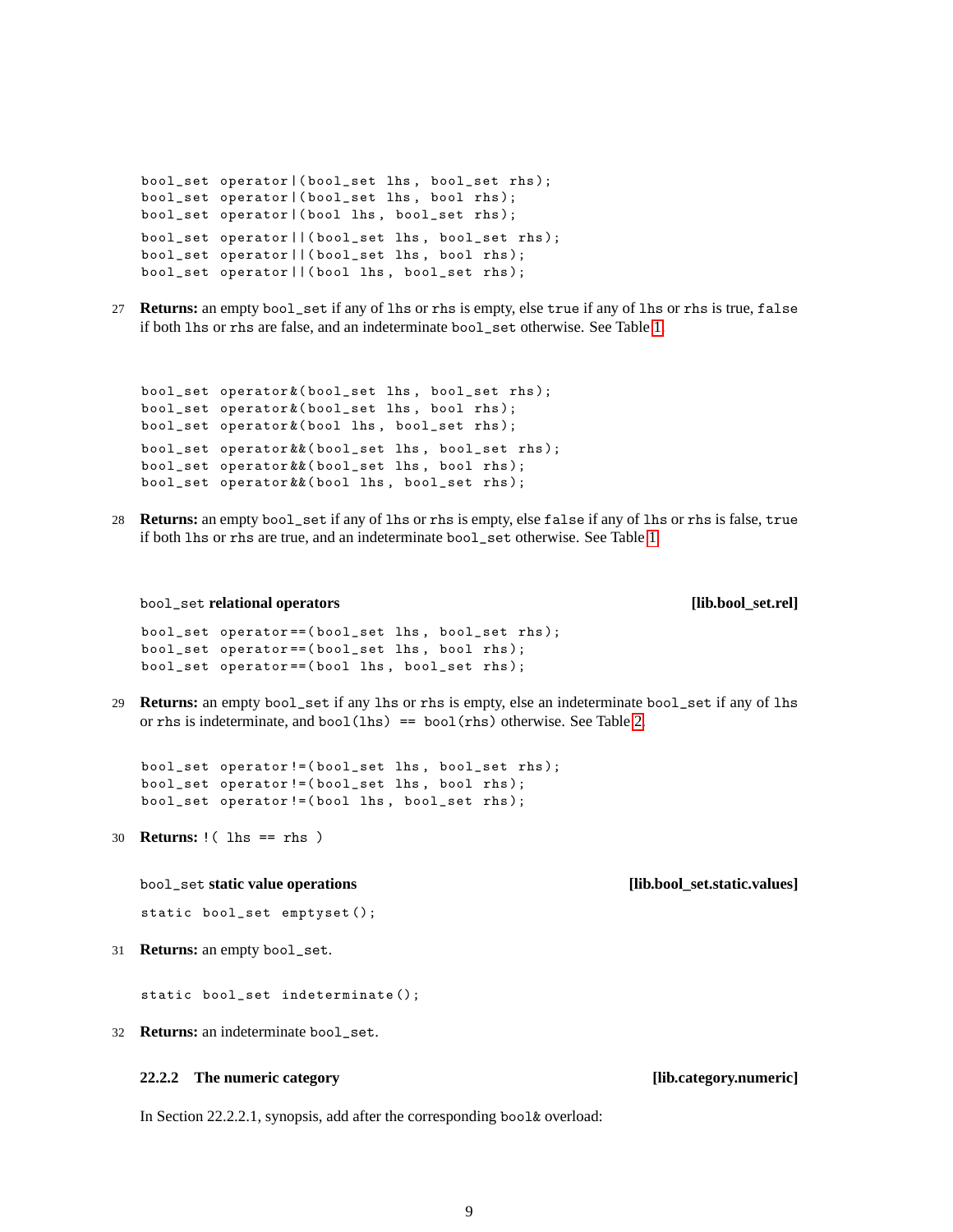```
bool_set operator |( bool_set lhs , bool_set rhs );
bool_set operator |( bool_set lhs , bool rhs );
bool_set operator |( bool lhs , bool_set rhs );
bool_set operator ||( bool_set lhs , bool_set rhs );
bool_set operator ||( bool_set lhs , bool rhs );
bool_set operator ||( bool lhs , bool_set rhs );
```
27 **Returns:** an empty bool\_set if any of lhs or rhs is empty, else true if any of lhs or rhs is true, false if both lhs or rhs are false, and an indeterminate bool\_set otherwise. See Table [1.](#page-5-1)

```
bool_set operator &( bool_set lhs , bool_set rhs );
bool_set operator &( bool_set lhs , bool rhs );
bool_set operator &( bool lhs , bool_set rhs );
bool_set operator &&( bool_set lhs , bool_set rhs );
bool_set operator &&( bool_set lhs , bool rhs );
bool_set operator &&( bool lhs , bool_set rhs );
```
28 **Returns:** an empty bool\_set if any of lhs or rhs is empty, else false if any of lhs or rhs is false, true if both lhs or rhs are true, and an indeterminate bool\_set otherwise. See Table [1.](#page-5-1)

bool\_set **relational operators [lib.bool\_set.rel]**

```
bool_set operator ==( bool_set lhs , bool_set rhs );
bool_set operator ==( bool_set lhs , bool rhs );
bool_set operator ==( bool lhs , bool_set rhs );
```
29 **Returns:** an empty bool\_set if any lhs or rhs is empty, else an indeterminate bool\_set if any of lhs or rhs is indeterminate, and bool(lhs) == bool(rhs) otherwise. See Table [2.](#page-5-2)

bool\_set operator !=( bool\_set lhs , bool\_set rhs ); bool\_set operator !=( bool\_set lhs , bool rhs ); bool\_set operator !=( bool lhs , bool\_set rhs );

30 **Returns:** !( lhs == rhs )

## bool\_set **static value operations [lib.bool\_set.static.values]**

```
static bool_set emptyset ();
```
31 **Returns:** an empty bool\_set.

static bool\_set indeterminate ();

32 **Returns:** an indeterminate bool\_set.

# <span id="page-8-0"></span>**22.2.2 The numeric category [lib.category.numeric]**

In Section 22.2.2.1, synopsis, add after the corresponding bool& overload: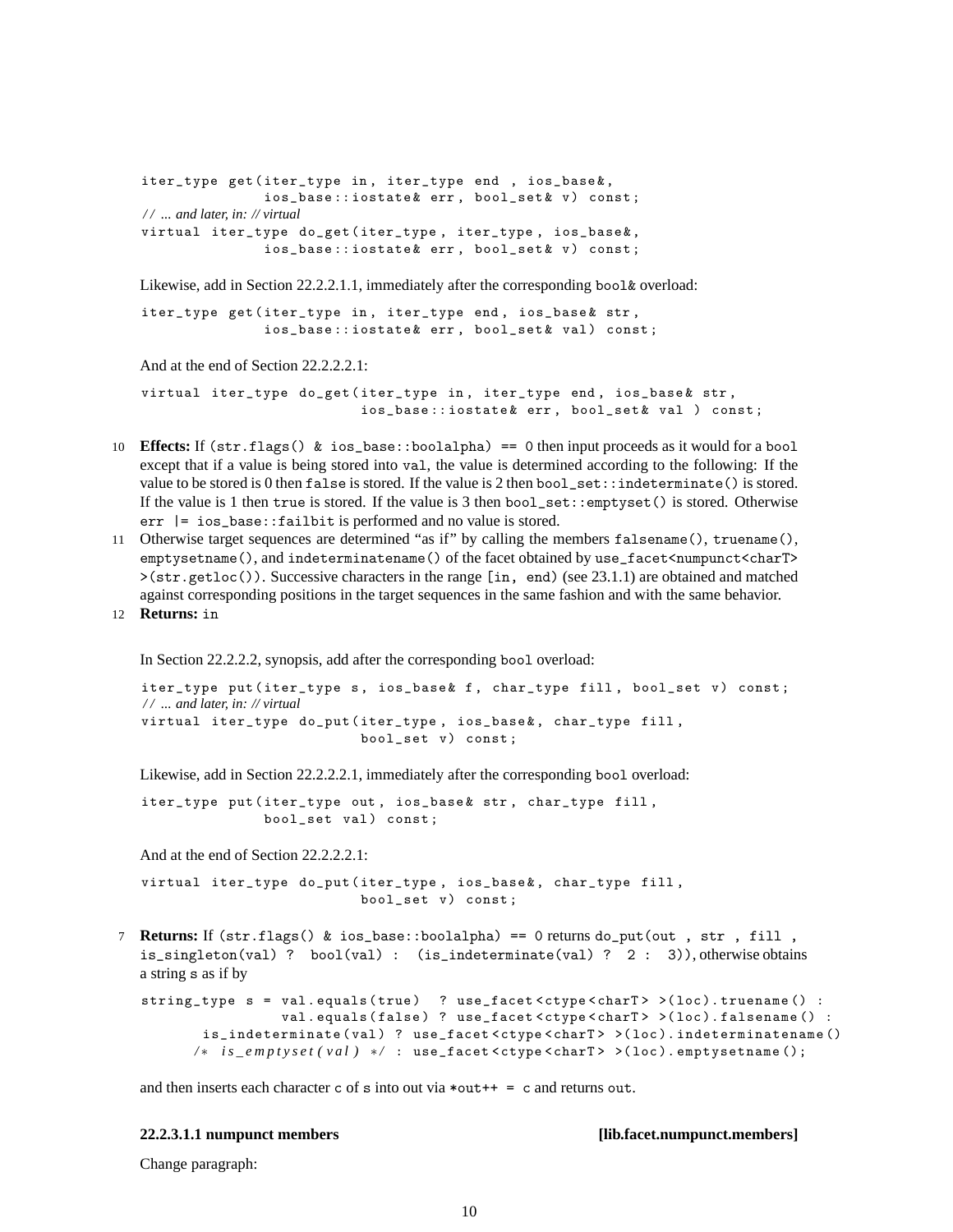```
iter_type get (iter_type in, iter_type end, ios_base &,
               ios_base::iostate& err, bool_set& v) const;
/ / ... and later, in: // virtual
virtual iter_type do_get ( iter_type , iter_type , ios_base &,
               ios_base :: iostate & err, bool_set & v) const;
```
Likewise, add in Section 22.2.2.1.1, immediately after the corresponding bool & overload:

iter\_type get (iter\_type in, iter\_type end, ios\_base& str, ios\_base:: iostate & err, bool\_set & val) const;

And at the end of Section 22.2.2.2.1:

virtual iter\_type do\_get (iter\_type in, iter\_type end, ios\_base& str, ios\_base:: iostate & err, bool\_set & val ) const;

- 10 **Effects:** If (str.flags() & ios\_base::boolalpha) == 0 then input proceeds as it would for a bool except that if a value is being stored into val, the value is determined according to the following: If the value to be stored is 0 then false is stored. If the value is 2 then  $bool\_set$ :: indeterminate() is stored. If the value is 1 then true is stored. If the value is 3 then bool\_set::emptyset() is stored. Otherwise err |= ios\_base::failbit is performed and no value is stored.
- 11 Otherwise target sequences are determined "as if" by calling the members falsename(), truename(), emptysetname(), and indeterminatename() of the facet obtained by use\_facet<numpunct<charT> >(str.getloc()). Successive characters in the range [in, end) (see 23.1.1) are obtained and matched against corresponding positions in the target sequences in the same fashion and with the same behavior.
- 12 **Returns:** in

In Section 22.2.2.2, synopsis, add after the corresponding bool overload:

```
iter_type put (iter_type s, ios_base & f, char_type fill, bool_set v) const;
/ / ... and later, in: // virtual
virtual iter_type do_put ( iter_type , ios_base & , char_type fill ,
                            bool_set v) const;
```
Likewise, add in Section 22.2.2.2.1, immediately after the corresponding bool overload:

iter\_type put (iter\_type out, ios\_base& str, char\_type fill, bool\_set val) const;

And at the end of Section 22.2.2.2.1:

virtual iter\_type do\_put ( iter\_type , ios\_base & , char\_type fill , bool\_set v) const;

7 **Returns:** If (str.flags() & ios\_base::boolalpha) == 0 returns do\_put(out , str , fill , is\_singleton(val) ? bool(val) : (is\_indeterminate(val) ? 2 : 3)), otherwise obtains a string s as if by

```
string_type s = val.equals(true) ? use_facet<ctype<charT> >(loc).truename() :
                  val.equals (false) ? use_facet <ctype < charT> >(loc).falsename () :
        is_indeterminate ( val ) ? use_facet < ctype < charT > >( loc ). indeterminatename ()
      / ∗ i s _ e m p t y s e t ( v a l ) ∗ / : use_facet < ctype < charT > >( loc ). emptysetname ();
```
and then inserts each character c of s into out via  $*$  out  $++ = c$  and returns out.

#### **22.2.3.1.1 numpunct members [lib.facet.numpunct.members]**

Change paragraph: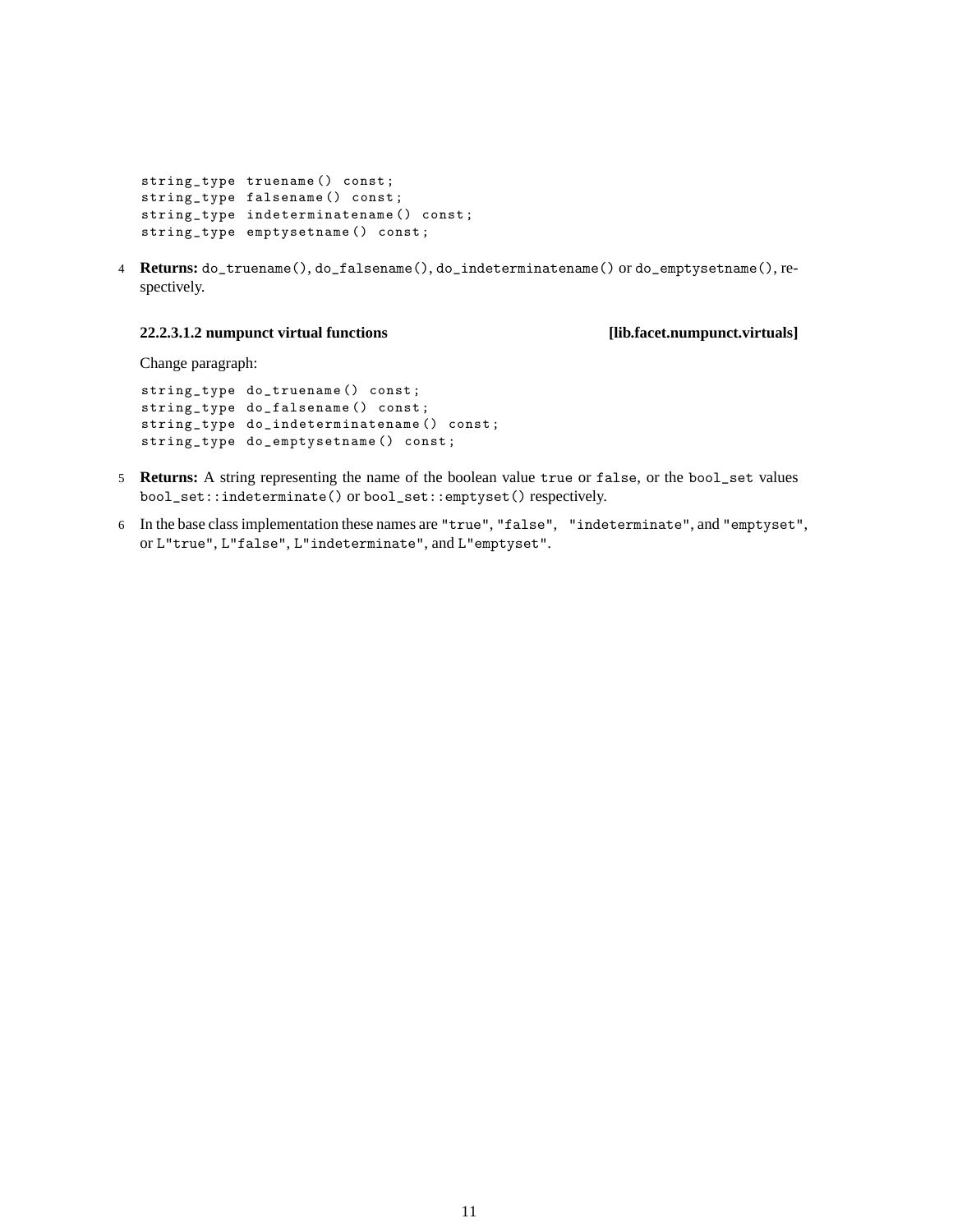```
string_type truename () const ;
string_type falsename () const ;
string_type indeterminatename () const ;
string_type emptysetname () const ;
```
4 **Returns:** do\_truename(), do\_falsename(), do\_indeterminatename() or do\_emptysetname(), respectively.

## **22.2.3.1.2 numpunct virtual functions [lib.facet.numpunct.virtuals]**

Change paragraph:

```
string_type do_truename () const ;
string_type do_falsename () const ;
string_type do_indeterminatename () const ;
string_type do_emptysetname () const ;
```
- 5 **Returns:** A string representing the name of the boolean value true or false, or the bool\_set values bool\_set::indeterminate() or bool\_set::emptyset() respectively.
- 6 In the base class implementation these names are "true", "false", "indeterminate", and "emptyset", or L"true", L"false", L"indeterminate", and L"emptyset".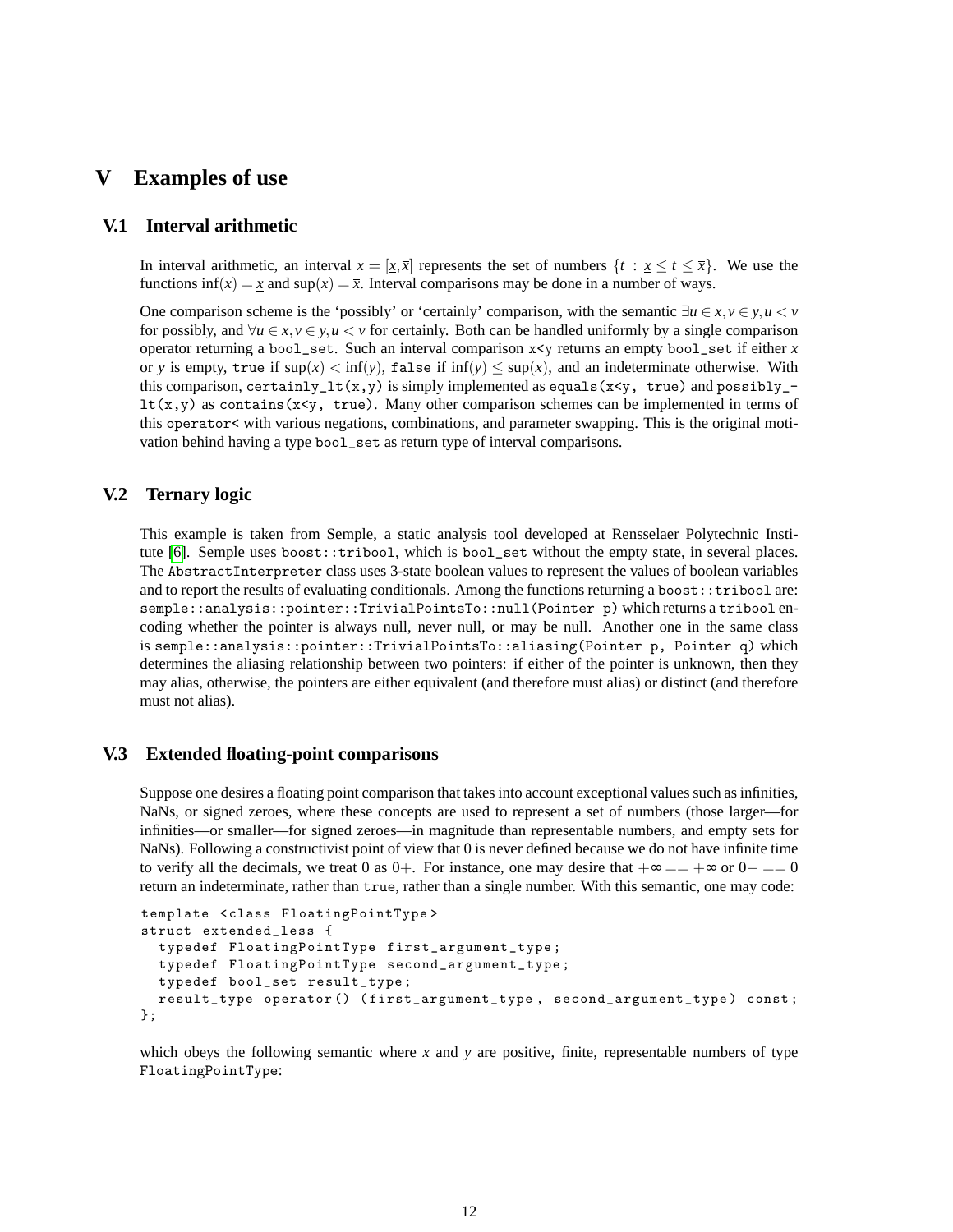# <span id="page-11-0"></span>**V Examples of use**

## <span id="page-11-1"></span>**V.1 Interval arithmetic**

In interval arithmetic, an interval  $x = [x, \bar{x}]$  represents the set of numbers  $\{t : x \le t \le \bar{x}\}\.$  We use the functions  $\inf(x) = x$  and  $\sup(x) = \overline{x}$ . Interval comparisons may be done in a number of ways.

One comparison scheme is the 'possibly' or 'certainly' comparison, with the semantic  $\exists u \in x, v \in y, u \leq v$ for possibly, and  $\forall u \in x, v \in y, u \leq v$  for certainly. Both can be handled uniformly by a single comparison operator returning a bool\_set. Such an interval comparison x<y returns an empty bool\_set if either *x* or *y* is empty, true if  $\sup(x) < \inf(y)$ , false if  $\inf(y) \leq \sup(x)$ , and an indeterminate otherwise. With this comparison, certainly\_lt(x,y) is simply implemented as equals(x<y, true) and possibly\_ $lt(x,y)$  as contains(x<y, true). Many other comparison schemes can be implemented in terms of this operator< with various negations, combinations, and parameter swapping. This is the original motivation behind having a type bool\_set as return type of interval comparisons.

## <span id="page-11-2"></span>**V.2 Ternary logic**

This example is taken from Semple, a static analysis tool developed at Rensselaer Polytechnic Institute [\[6\]](#page-13-7). Semple uses boost::tribool, which is bool\_set without the empty state, in several places. The AbstractInterpreter class uses 3-state boolean values to represent the values of boolean variables and to report the results of evaluating conditionals. Among the functions returning a boost::tribool are: semple::analysis::pointer::TrivialPointsTo::null(Pointer p) which returns a tribool encoding whether the pointer is always null, never null, or may be null. Another one in the same class is semple::analysis::pointer::TrivialPointsTo::aliasing(Pointer p, Pointer q) which determines the aliasing relationship between two pointers: if either of the pointer is unknown, then they may alias, otherwise, the pointers are either equivalent (and therefore must alias) or distinct (and therefore must not alias).

## <span id="page-11-3"></span>**V.3 Extended floating-point comparisons**

Suppose one desires a floating point comparison that takes into account exceptional values such as infinities, NaNs, or signed zeroes, where these concepts are used to represent a set of numbers (those larger—for infinities—or smaller—for signed zeroes—in magnitude than representable numbers, and empty sets for NaNs). Following a constructivist point of view that 0 is never defined because we do not have infinite time to verify all the decimals, we treat 0 as 0+. For instance, one may desire that  $+\infty == +\infty$  or  $0- == 0$ return an indeterminate, rather than true, rather than a single number. With this semantic, one may code:

```
template < class FloatingPointType >
struct extended_less {
  typedef FloatingPointType first_argument_type ;
  typedef FloatingPointType second_argument_type ;
  typedef bool_set result_type ;
  result_type operator () ( first_argument_type , second_argument_type ) const ;
};
```
which obeys the following semantic where *x* and *y* are positive, finite, representable numbers of type FloatingPointType: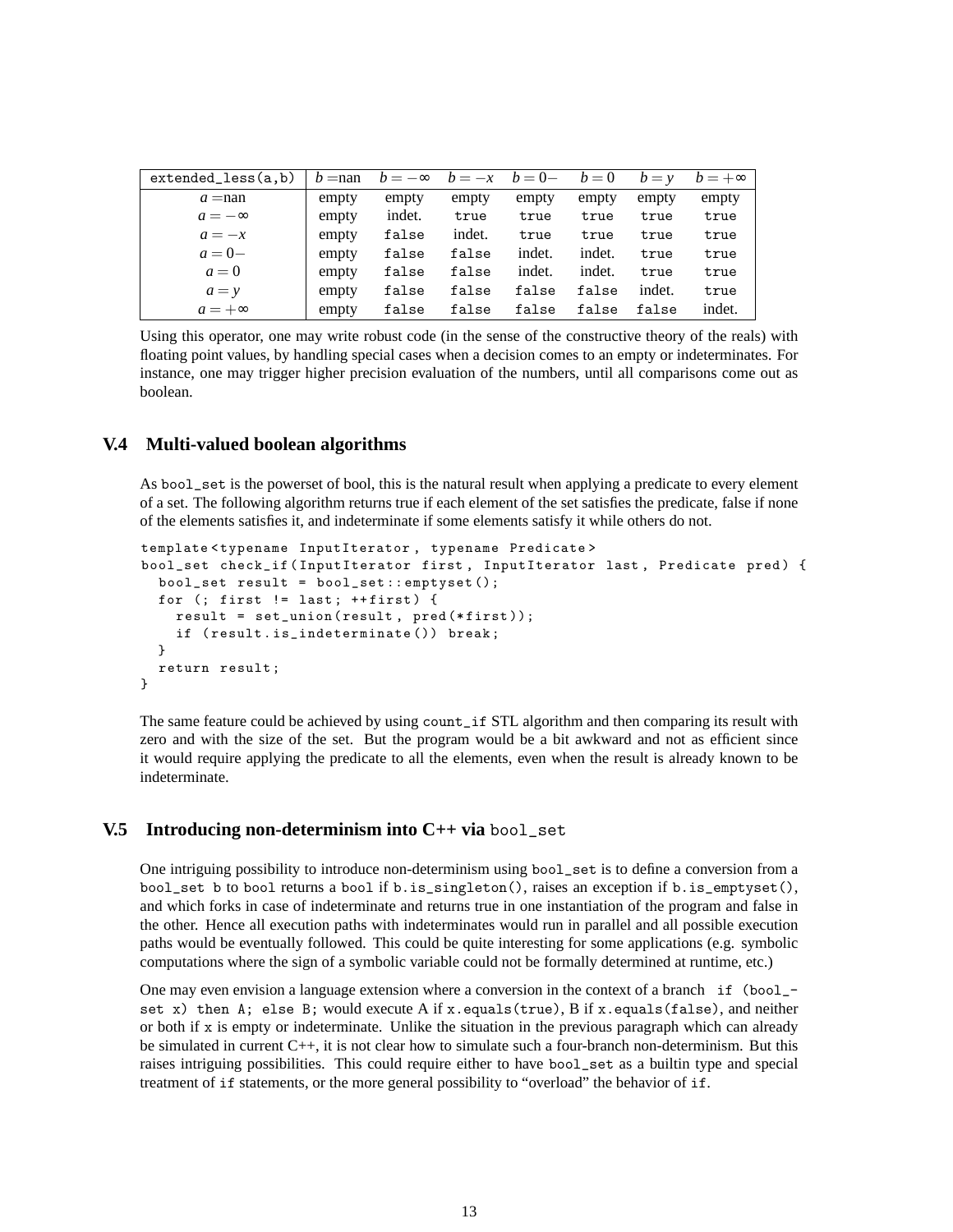| $extended_less(a,b)$ | $b =$ nan |        | $b = -\infty$ $b = -x$ $b = 0$ |        | $b=0$  | $b = v$ | $b = +\infty$ |
|----------------------|-----------|--------|--------------------------------|--------|--------|---------|---------------|
| $a =$ nan            | empty     | empty  | empty                          | empty  | empty  | empty   | empty         |
| $a=-\infty$          | empty     | indet. | true                           | true   | true   | true    | true          |
| $a = -x$             | empty     | false  | indet.                         | true   | true   | true    | true          |
| $a=0-$               | empty     | false  | false                          | indet. | indet. | true    | true          |
| $a=0$                | empty     | false  | false                          | indet. | indet. | true    | true          |
| $a = y$              | empty     | false  | false                          | false  | false  | indet.  | true          |
| $a = +\infty$        | empty     | false  | false                          | false  | false  | false   | indet.        |

Using this operator, one may write robust code (in the sense of the constructive theory of the reals) with floating point values, by handling special cases when a decision comes to an empty or indeterminates. For instance, one may trigger higher precision evaluation of the numbers, until all comparisons come out as boolean.

## <span id="page-12-0"></span>**V.4 Multi-valued boolean algorithms**

As bool\_set is the powerset of bool, this is the natural result when applying a predicate to every element of a set. The following algorithm returns true if each element of the set satisfies the predicate, false if none of the elements satisfies it, and indeterminate if some elements satisfy it while others do not.

```
template < typename InputIterator , typename Predicate >
bool_set check_if (InputIterator first, InputIterator last, Predicate pred) {
  bool_set result = bool_set :: emptyset ();
  for (; first != last; ++ first) {
    result = set_union ( result , pred (* first ));
    if ( result . is_indeterminate ()) break ;
  }
  return result ;
}
```
The same feature could be achieved by using count\_if STL algorithm and then comparing its result with zero and with the size of the set. But the program would be a bit awkward and not as efficient since it would require applying the predicate to all the elements, even when the result is already known to be indeterminate.

## <span id="page-12-1"></span>**V.5 Introducing non-determinism into C++ via** bool\_set

One intriguing possibility to introduce non-determinism using bool\_set is to define a conversion from a bool\_set b to bool returns a bool if b.is\_singleton(), raises an exception if b.is\_emptyset(), and which forks in case of indeterminate and returns true in one instantiation of the program and false in the other. Hence all execution paths with indeterminates would run in parallel and all possible execution paths would be eventually followed. This could be quite interesting for some applications (e.g. symbolic computations where the sign of a symbolic variable could not be formally determined at runtime, etc.)

One may even envision a language extension where a conversion in the context of a branch if (bool\_set x) then A; else B; would execute A if x.equals(true), B if x.equals(false), and neither or both if x is empty or indeterminate. Unlike the situation in the previous paragraph which can already be simulated in current C++, it is not clear how to simulate such a four-branch non-determinism. But this raises intriguing possibilities. This could require either to have bool\_set as a builtin type and special treatment of if statements, or the more general possibility to "overload" the behavior of if.